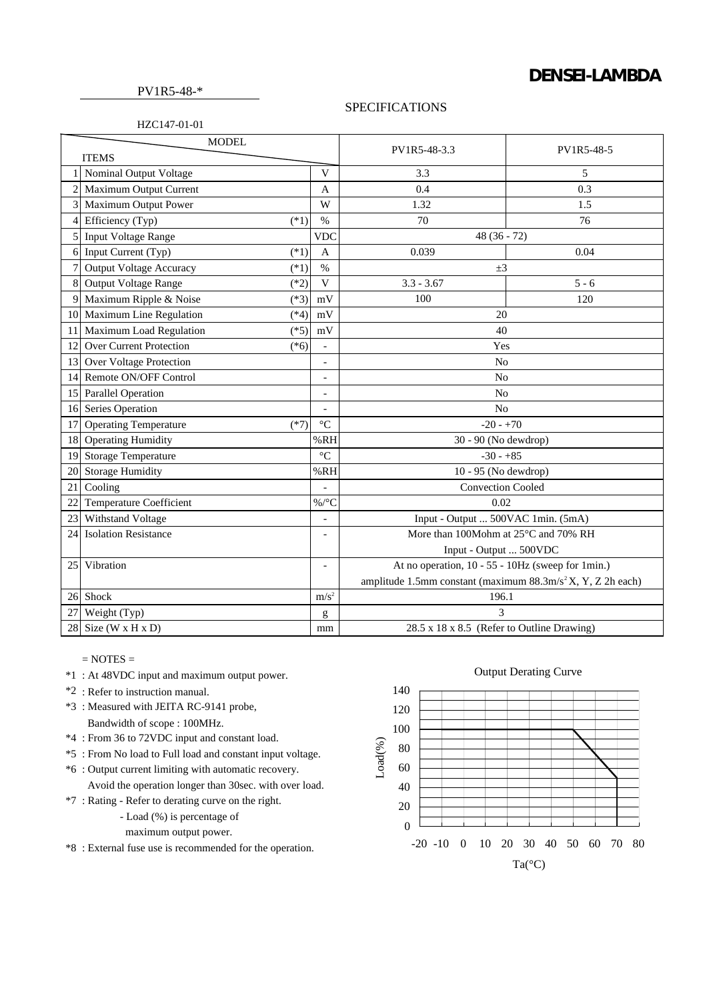## **DENSEI-LAMBDA**

PV1R5-48-\*

## SPECIFICATIONS

| <b>MODEL</b> |                                          |                          | PV1R5-48-3.3                                                            | PV1R5-48-5 |
|--------------|------------------------------------------|--------------------------|-------------------------------------------------------------------------|------------|
| <b>ITEMS</b> |                                          |                          |                                                                         |            |
|              | Nominal Output Voltage                   | V                        | 3.3                                                                     | 5          |
|              | Maximum Output Current                   | $\mathbf{A}$             | 0.4                                                                     | 0.3        |
|              | Maximum Output Power                     | W                        | 1.32                                                                    | 1.5        |
| 4            | Efficiency (Typ)<br>$(*1)$               | $\%$                     | 70                                                                      | 76         |
| 5            | <b>Input Voltage Range</b>               | <b>VDC</b>               | $48(36 - 72)$                                                           |            |
| 6            | Input Current (Typ)<br>$(*1)$            | $\mathbf{A}$             | 0.039                                                                   | 0.04       |
|              | <b>Output Voltage Accuracy</b><br>$(*1)$ | $\%$                     | $\pm 3$                                                                 |            |
| 8            | Output Voltage Range<br>$(*2)$           | V                        | $3.3 - 3.67$                                                            | $5 - 6$    |
| 9            | Maximum Ripple & Noise<br>$(*3)$         | mV                       | 100                                                                     | 120        |
| 10           | Maximum Line Regulation<br>$(*4)$        | $\rm mV$                 | 20                                                                      |            |
| 11           | Maximum Load Regulation<br>$(*5)$        | mV                       | 40                                                                      |            |
| 12           | Over Current Protection<br>$(*6)$        | $\overline{\phantom{a}}$ | Yes                                                                     |            |
| 13           | Over Voltage Protection                  | $\qquad \qquad -$        | N <sub>0</sub>                                                          |            |
| 14           | Remote ON/OFF Control                    | $\overline{a}$           | N <sub>o</sub>                                                          |            |
|              | 15 Parallel Operation                    | $\overline{a}$           | N <sub>0</sub>                                                          |            |
| 16           | Series Operation                         | $\overline{a}$           | No                                                                      |            |
| 17           | <b>Operating Temperature</b><br>$(*7)$   | $\rm ^{\circ}C$          | $-20 - +70$                                                             |            |
| 18           | <b>Operating Humidity</b>                | %RH                      | 30 - 90 (No dewdrop)                                                    |            |
| 19           | <b>Storage Temperature</b>               | $\rm ^{\circ}C$          | $-30 - +85$                                                             |            |
| 20           | Storage Humidity                         | %RH                      | 10 - 95 (No dewdrop)                                                    |            |
| 21           | Cooling                                  |                          | <b>Convection Cooled</b>                                                |            |
| 22           | <b>Temperature Coefficient</b>           | $\%$ /°C                 | 0.02                                                                    |            |
| 23           | Withstand Voltage                        | $\overline{\phantom{a}}$ | Input - Output  500VAC 1min. (5mA)                                      |            |
| 24           | <b>Isolation Resistance</b>              |                          | More than 100Mohm at 25°C and 70% RH                                    |            |
|              |                                          |                          | Input - Output  500VDC                                                  |            |
| 25           | Vibration                                | $\overline{\phantom{a}}$ | At no operation, 10 - 55 - 10Hz (sweep for 1min.)                       |            |
|              |                                          |                          | amplitude 1.5mm constant (maximum 88.3m/s <sup>2</sup> X, Y, Z 2h each) |            |
| 26           | Shock                                    | m/s <sup>2</sup>         | 196.1                                                                   |            |
| 27           | Weight (Typ)                             | g                        | 3                                                                       |            |
| 28           | Size $(W \times H \times D)$             | mm                       | 28.5 x 18 x 8.5 (Refer to Outline Drawing)                              |            |

 $=$  NOTES  $=$ 

- \*1 : At 48VDC input and maximum output power.
- \*2 : Refer to instruction manual.
- \*3 : Measured with JEITA RC-9141 probe, Bandwidth of scope : 100MHz.
- \*4 : From 36 to 72VDC input and constant load.
- \*5 : From No load to Full load and constant input voltage.
- \*6 : Output current limiting with automatic recovery. Avoid the operation longer than 30sec. with over load.
- \*7 : Rating Refer to derating curve on the right.
	- Load (%) is percentage of

maximum output power.

\*8 : External fuse use is recommended for the operation.